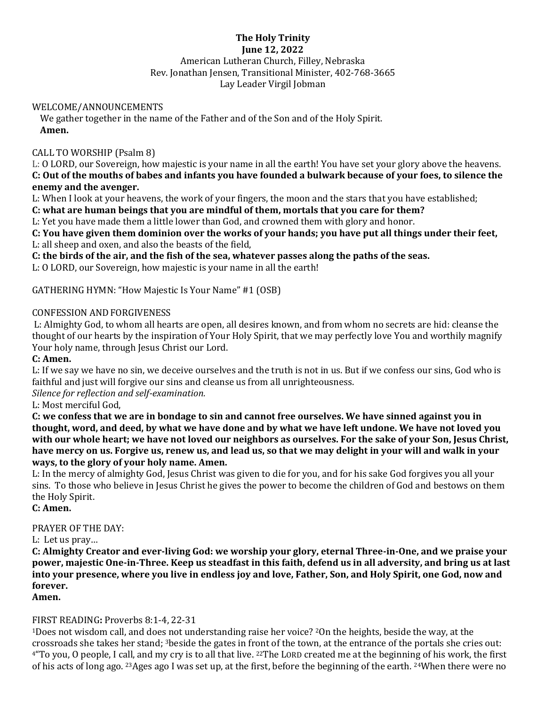### **The Holy Trinity June 12, 2022** American Lutheran Church, Filley, Nebraska Rev. Jonathan Jensen, Transitional Minister, 402-768-3665 Lay Leader Virgil Jobman

#### WELCOME/ANNOUNCEMENTS

We gather together in the name of the Father and of the Son and of the Holy Spirit. **Amen.**

## CALL TO WORSHIP (Psalm 8)

L: O LORD, our Sovereign, how majestic is your name in all the earth! You have set your glory above the heavens. **C: Out of the mouths of babes and infants you have founded a bulwark because of your foes, to silence the enemy and the avenger.**

L: When I look at your heavens, the work of your fingers, the moon and the stars that you have established;

## **C: what are human beings that you are mindful of them, mortals that you care for them?**

L: Yet you have made them a little lower than God, and crowned them with glory and honor.

**C: You have given them dominion over the works of your hands; you have put all things under their feet,** L: all sheep and oxen, and also the beasts of the field,

**C: the birds of the air, and the fish of the sea, whatever passes along the paths of the seas.**

L: O LORD, our Sovereign, how majestic is your name in all the earth!

GATHERING HYMN: "How Majestic Is Your Name" #1 (OSB)

#### CONFESSION AND FORGIVENESS

L: Almighty God, to whom all hearts are open, all desires known, and from whom no secrets are hid: cleanse the thought of our hearts by the inspiration of Your Holy Spirit, that we may perfectly love You and worthily magnify Your holy name, through Jesus Christ our Lord.

#### **C: Amen.**

L: If we say we have no sin, we deceive ourselves and the truth is not in us. But if we confess our sins, God who is faithful and just will forgive our sins and cleanse us from all unrighteousness.

*Silence for reflection and self-examination.*

L: Most merciful God,

**C: we confess that we are in bondage to sin and cannot free ourselves. We have sinned against you in thought, word, and deed, by what we have done and by what we have left undone. We have not loved you with our whole heart; we have not loved our neighbors as ourselves. For the sake of your Son, Jesus Christ, have mercy on us. Forgive us, renew us, and lead us, so that we may delight in your will and walk in your ways, to the glory of your holy name. Amen.** 

L: In the mercy of almighty God, Jesus Christ was given to die for you, and for his sake God forgives you all your sins. To those who believe in Jesus Christ he gives the power to become the children of God and bestows on them the Holy Spirit.

**C: Amen.**

#### PRAYER OF THE DAY:

L: Let us pray…

**C: Almighty Creator and ever-living God: we worship your glory, eternal Three-in-One, and we praise your power, majestic One-in-Three. Keep us steadfast in this faith, defend us in all adversity, and bring us at last into your presence, where you live in endless joy and love, Father, Son, and Holy Spirit, one God, now and forever.**

**Amen.**

#### FIRST READING**:** Proverbs 8:1-4, 22-31

<sup>1</sup>Does not wisdom call, and does not understanding raise her voice? <sup>2</sup>On the heights, beside the way, at the crossroads she takes her stand; <sup>3</sup>beside the gates in front of the town, at the entrance of the portals she cries out: 4"To you, O people, I call, and my cry is to all that live. <sup>22</sup>The LORD created me at the beginning of his work, the first of his acts of long ago. <sup>23</sup>Ages ago I was set up, at the first, before the beginning of the earth. <sup>24</sup>When there were no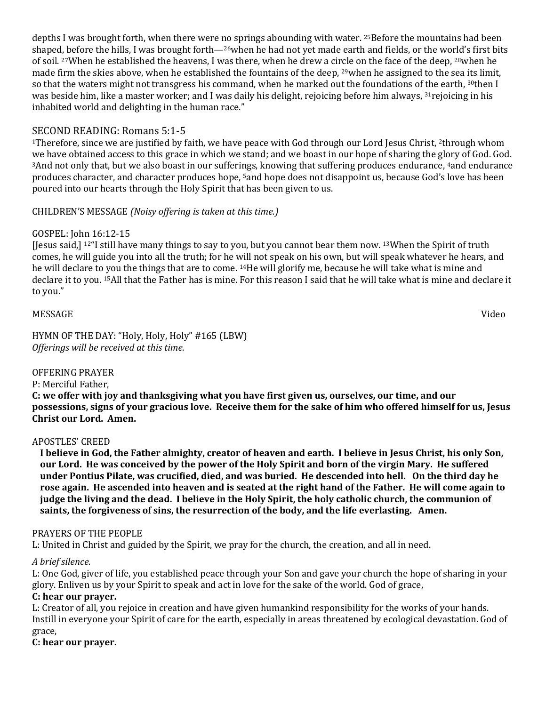depths I was brought forth, when there were no springs abounding with water. <sup>25</sup>Before the mountains had been shaped, before the hills, I was brought forth—26when he had not yet made earth and fields, or the world's first bits of soil. <sup>27</sup>When he established the heavens, I was there, when he drew a circle on the face of the deep, <sup>28</sup>when he made firm the skies above, when he established the fountains of the deep, <sup>29</sup>when he assigned to the sea its limit, so that the waters might not transgress his command, when he marked out the foundations of the earth, 30then I was beside him, like a master worker; and I was daily his delight, rejoicing before him always, <sup>31</sup>rejoicing in his inhabited world and delighting in the human race."

# SECOND READING: Romans 5:1-5

<sup>1</sup>Therefore, since we are justified by faith, we have peace with God through our Lord Jesus Christ, <sup>2</sup>through whom we have obtained access to this grace in which we stand; and we boast in our hope of sharing the glory of God. God. <sup>3</sup>And not only that, but we also boast in our sufferings, knowing that suffering produces endurance, <sup>4</sup>and endurance produces character, and character produces hope, <sup>5</sup>and hope does not disappoint us, because God's love has been poured into our hearts through the Holy Spirit that has been given to us.

# CHILDREN'S MESSAGE *(Noisy offering is taken at this time.)*

# GOSPEL: John 16:12-15

[Jesus said,] <sup>12</sup>"I still have many things to say to you, but you cannot bear them now. <sup>13</sup>When the Spirit of truth comes, he will guide you into all the truth; for he will not speak on his own, but will speak whatever he hears, and he will declare to you the things that are to come. <sup>14</sup>He will glorify me, because he will take what is mine and declare it to you. <sup>15</sup>All that the Father has is mine. For this reason I said that he will take what is mine and declare it to you."

## MESSAGE Video

HYMN OF THE DAY: "Holy, Holy, Holy" #165 (LBW) *Offerings will be received at this time.*

#### OFFERING PRAYER

P: Merciful Father,

**C: we offer with joy and thanksgiving what you have first given us, ourselves, our time, and our possessions, signs of your gracious love. Receive them for the sake of him who offered himself for us, Jesus Christ our Lord. Amen.**

#### APOSTLES' CREED

**I believe in God, the Father almighty, creator of heaven and earth. I believe in Jesus Christ, his only Son, our Lord. He was conceived by the power of the Holy Spirit and born of the virgin Mary. He suffered under Pontius Pilate, was crucified, died, and was buried. He descended into hell. On the third day he rose again. He ascended into heaven and is seated at the right hand of the Father. He will come again to judge the living and the dead. I believe in the Holy Spirit, the holy catholic church, the communion of saints, the forgiveness of sins, the resurrection of the body, and the life everlasting. Amen.**

#### PRAYERS OF THE PEOPLE

L: United in Christ and guided by the Spirit, we pray for the church, the creation, and all in need.

#### *A brief silence.*

L: One God, giver of life, you established peace through your Son and gave your church the hope of sharing in your glory. Enliven us by your Spirit to speak and act in love for the sake of the world. God of grace,

#### **C: hear our prayer.**

L: Creator of all, you rejoice in creation and have given humankind responsibility for the works of your hands. Instill in everyone your Spirit of care for the earth, especially in areas threatened by ecological devastation. God of grace,

#### **C: hear our prayer.**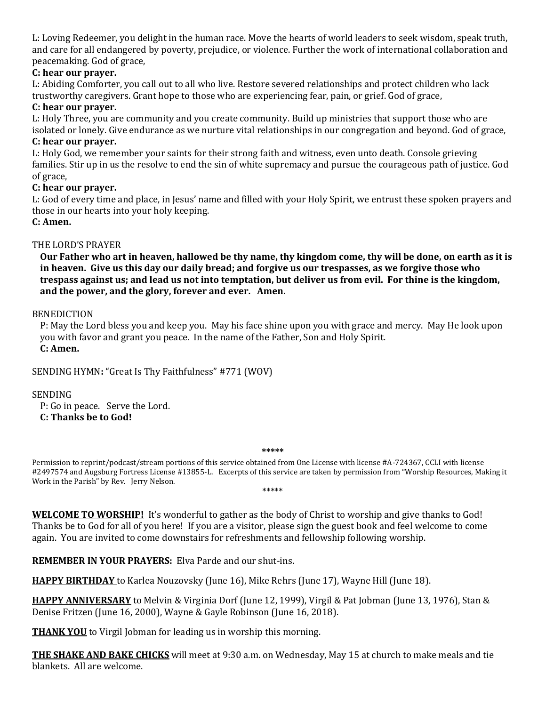L: Loving Redeemer, you delight in the human race. Move the hearts of world leaders to seek wisdom, speak truth, and care for all endangered by poverty, prejudice, or violence. Further the work of international collaboration and peacemaking. God of grace,

## **C: hear our prayer.**

L: Abiding Comforter, you call out to all who live. Restore severed relationships and protect children who lack trustworthy caregivers. Grant hope to those who are experiencing fear, pain, or grief. God of grace,

#### **C: hear our prayer.**

L: Holy Three, you are community and you create community. Build up ministries that support those who are isolated or lonely. Give endurance as we nurture vital relationships in our congregation and beyond. God of grace, **C: hear our prayer.**

L: Holy God, we remember your saints for their strong faith and witness, even unto death. Console grieving families. Stir up in us the resolve to end the sin of white supremacy and pursue the courageous path of justice. God of grace,

#### **C: hear our prayer.**

L: God of every time and place, in Jesus' name and filled with your Holy Spirit, we entrust these spoken prayers and those in our hearts into your holy keeping.

#### **C: Amen.**

#### THE LORD'S PRAYER

**Our Father who art in heaven, hallowed be thy name, thy kingdom come, thy will be done, on earth as it is in heaven. Give us this day our daily bread; and forgive us our trespasses, as we forgive those who trespass against us; and lead us not into temptation, but deliver us from evil. For thine is the kingdom, and the power, and the glory, forever and ever. Amen.**

#### BENEDICTION

P: May the Lord bless you and keep you. May his face shine upon you with grace and mercy. May He look upon you with favor and grant you peace. In the name of the Father, Son and Holy Spirit. **C: Amen.**

#### SENDING HYMN**:** "Great Is Thy Faithfulness" #771 (WOV)

#### SENDING

P: Go in peace. Serve the Lord. **C: Thanks be to God!**

#### **\*\*\*\*\***

Permission to reprint/podcast/stream portions of this service obtained from One License with license #A-724367, CCLI with license #2497574 and Augsburg Fortress License #13855-L. Excerpts of this service are taken by permission from "Worship Resources, Making it Work in the Parish" by Rev. Jerry Nelson. \*\*\*\*\*

**WELCOME TO WORSHIP!** It's wonderful to gather as the body of Christ to worship and give thanks to God! Thanks be to God for all of you here! If you are a visitor, please sign the guest book and feel welcome to come again. You are invited to come downstairs for refreshments and fellowship following worship.

**REMEMBER IN YOUR PRAYERS:** Elva Parde and our shut-ins.

**HAPPY BIRTHDAY** to Karlea Nouzovsky (June 16), Mike Rehrs (June 17), Wayne Hill (June 18).

**HAPPY ANNIVERSARY** to Melvin & Virginia Dorf (June 12, 1999), Virgil & Pat Jobman (June 13, 1976), Stan & Denise Fritzen (June 16, 2000), Wayne & Gayle Robinson (June 16, 2018).

**THANK YOU** to Virgil Jobman for leading us in worship this morning.

**THE SHAKE AND BAKE CHICKS** will meet at 9:30 a.m. on Wednesday, May 15 at church to make meals and tie blankets. All are welcome.